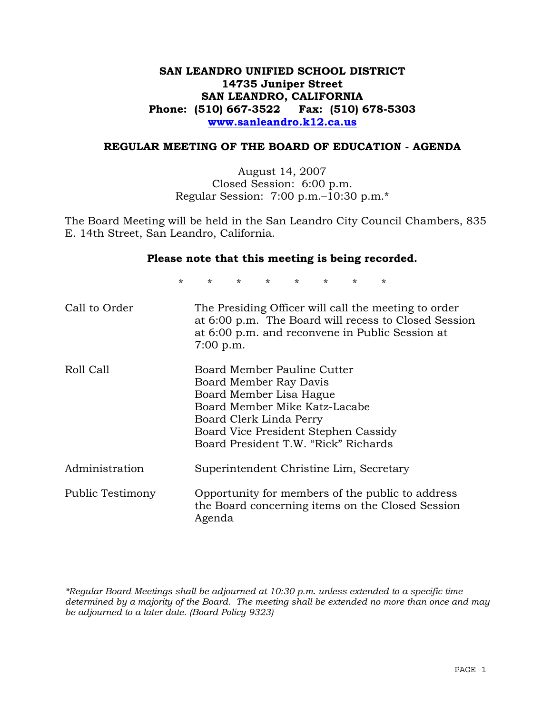# **SAN LEANDRO UNIFIED SCHOOL DISTRICT 14735 Juniper Street SAN LEANDRO, CALIFORNIA Phone: (510) 667-3522 Fax: (510) 678-5303 www.sanleandro.k12.ca.us**

## **REGULAR MEETING OF THE BOARD OF EDUCATION - AGENDA**

August 14, 2007 Closed Session: 6:00 p.m. Regular Session: 7:00 p.m.–10:30 p.m.\*

The Board Meeting will be held in the San Leandro City Council Chambers, 835 E. 14th Street, San Leandro, California.

### **Please note that this meeting is being recorded.**

\* \* \* \* \* \* \* \* Call to Order The Presiding Officer will call the meeting to order at 6:00 p.m. The Board will recess to Closed Session at 6:00 p.m. and reconvene in Public Session at 7:00 p.m. Roll Call Board Member Pauline Cutter Board Member Ray Davis Board Member Lisa Hague Board Member Mike Katz-Lacabe Board Clerk Linda Perry Board Vice President Stephen Cassidy Board President T.W. "Rick" Richards Administration Superintendent Christine Lim, Secretary Public Testimony Opportunity for members of the public to address the Board concerning items on the Closed Session Agenda

*\*Regular Board Meetings shall be adjourned at 10:30 p.m. unless extended to a specific time determined by a majority of the Board. The meeting shall be extended no more than once and may be adjourned to a later date. (Board Policy 9323)*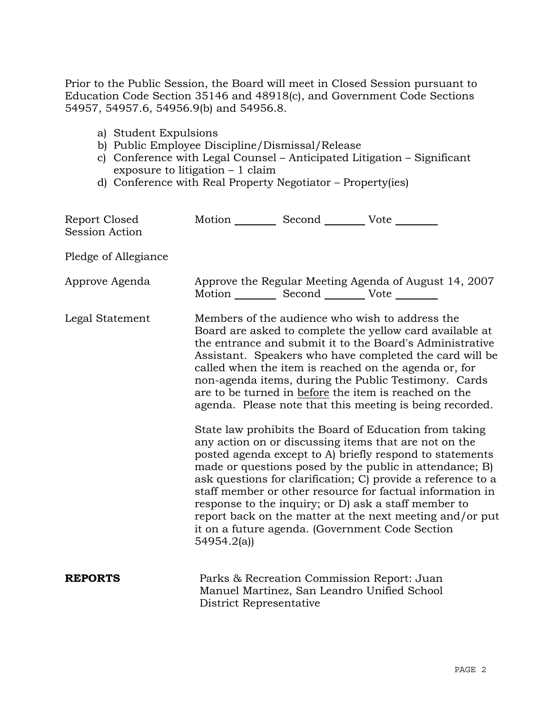Prior to the Public Session, the Board will meet in Closed Session pursuant to Education Code Section 35146 and 48918(c), and Government Code Sections 54957, 54957.6, 54956.9(b) and 54956.8.

- a) Student Expulsions
- b) Public Employee Discipline/Dismissal/Release
- c) Conference with Legal Counsel Anticipated Litigation Significant exposure to litigation – 1 claim
- d) Conference with Real Property Negotiator Property(ies)

| Report Closed<br>Session Action | Motion __________ Second __________ Vote ________ |                                                                                           |                                                                                                                                                                                                                                                                                                                                                                                                                                                                                                                                            |
|---------------------------------|---------------------------------------------------|-------------------------------------------------------------------------------------------|--------------------------------------------------------------------------------------------------------------------------------------------------------------------------------------------------------------------------------------------------------------------------------------------------------------------------------------------------------------------------------------------------------------------------------------------------------------------------------------------------------------------------------------------|
| Pledge of Allegiance            |                                                   |                                                                                           |                                                                                                                                                                                                                                                                                                                                                                                                                                                                                                                                            |
| Approve Agenda                  |                                                   | Motion __________ Second __________ Vote ________                                         | Approve the Regular Meeting Agenda of August 14, 2007                                                                                                                                                                                                                                                                                                                                                                                                                                                                                      |
| Legal Statement                 |                                                   |                                                                                           | Members of the audience who wish to address the<br>Board are asked to complete the yellow card available at<br>the entrance and submit it to the Board's Administrative<br>Assistant. Speakers who have completed the card will be<br>called when the item is reached on the agenda or, for<br>non-agenda items, during the Public Testimony. Cards<br>are to be turned in before the item is reached on the<br>agenda. Please note that this meeting is being recorded.                                                                   |
|                                 | 54954.2(a)                                        |                                                                                           | State law prohibits the Board of Education from taking<br>any action on or discussing items that are not on the<br>posted agenda except to A) briefly respond to statements<br>made or questions posed by the public in attendance; B)<br>ask questions for clarification; C) provide a reference to a<br>staff member or other resource for factual information in<br>response to the inquiry; or D) ask a staff member to<br>report back on the matter at the next meeting and/or put<br>it on a future agenda. (Government Code Section |
| <b>REPORTS</b>                  | District Representative                           | Parks & Recreation Commission Report: Juan<br>Manuel Martinez, San Leandro Unified School |                                                                                                                                                                                                                                                                                                                                                                                                                                                                                                                                            |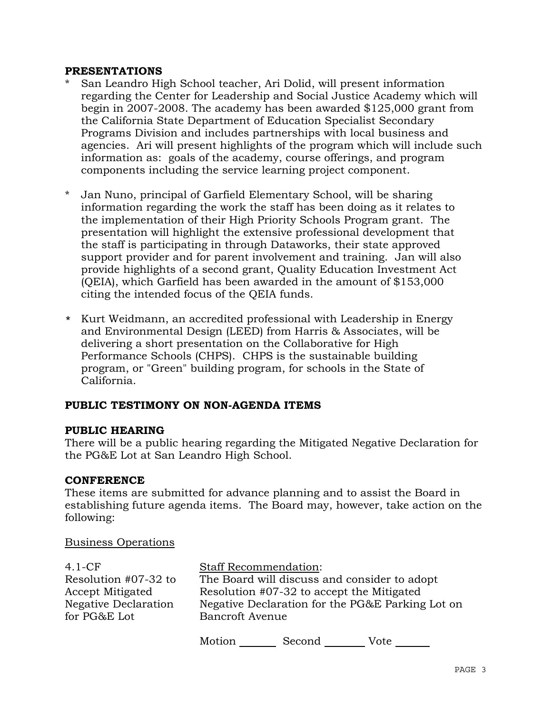### **PRESENTATIONS**

- San Leandro High School teacher, Ari Dolid, will present information regarding the Center for Leadership and Social Justice Academy which will begin in 2007-2008. The academy has been awarded \$125,000 grant from the California State Department of Education Specialist Secondary Programs Division and includes partnerships with local business and agencies. Ari will present highlights of the program which will include such information as: goals of the academy, course offerings, and program components including the service learning project component.
- \* Jan Nuno, principal of Garfield Elementary School, will be sharing information regarding the work the staff has been doing as it relates to the implementation of their High Priority Schools Program grant. The presentation will highlight the extensive professional development that the staff is participating in through Dataworks, their state approved support provider and for parent involvement and training. Jan will also provide highlights of a second grant, Quality Education Investment Act (QEIA), which Garfield has been awarded in the amount of \$153,000 citing the intended focus of the QEIA funds.
- \* Kurt Weidmann, an accredited professional with Leadership in Energy and Environmental Design (LEED) from Harris & Associates, will be delivering a short presentation on the Collaborative for High Performance Schools (CHPS). CHPS is the sustainable building program, or "Green" building program, for schools in the State of California.

# **PUBLIC TESTIMONY ON NON-AGENDA ITEMS**

### **PUBLIC HEARING**

There will be a public hearing regarding the Mitigated Negative Declaration for the PG&E Lot at San Leandro High School.

### **CONFERENCE**

These items are submitted for advance planning and to assist the Board in establishing future agenda items. The Board may, however, take action on the following:

### Business Operations

| $4.1-CF$                                    |                                                                            | <b>Staff Recommendation:</b>              |                                              |  |
|---------------------------------------------|----------------------------------------------------------------------------|-------------------------------------------|----------------------------------------------|--|
| Resolution #07-32 to<br>Accept Mitigated    |                                                                            | Resolution #07-32 to accept the Mitigated | The Board will discuss and consider to adopt |  |
| <b>Negative Declaration</b><br>for PG&E Lot | Negative Declaration for the PG&E Parking Lot on<br><b>Bancroft Avenue</b> |                                           |                                              |  |
|                                             | Motion                                                                     | Second                                    | Vote                                         |  |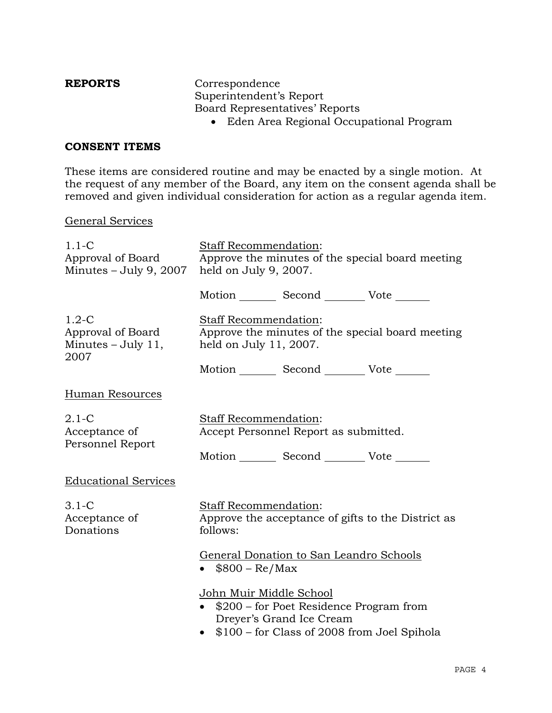**REPORTS** Correspondence Superintendent's Report Board Representatives' Reports

• Eden Area Regional Occupational Program

## **CONSENT ITEMS**

These items are considered routine and may be enacted by a single motion. At the request of any member of the Board, any item on the consent agenda shall be removed and given individual consideration for action as a regular agenda item.

### General Services

| $1.1-C$<br>Approval of Board<br>Minutes $-$ July 9, 2007     | Staff Recommendation:<br>Approve the minutes of the special board meeting<br>held on July 9, 2007.                                                     |  |
|--------------------------------------------------------------|--------------------------------------------------------------------------------------------------------------------------------------------------------|--|
|                                                              | Motion Second Vote                                                                                                                                     |  |
| $1.2-C$<br>Approval of Board<br>Minutes $-$ July 11,<br>2007 | <b>Staff Recommendation:</b><br>Approve the minutes of the special board meeting<br>held on July 11, 2007.                                             |  |
|                                                              | Motion _________ Second _________ Vote _______                                                                                                         |  |
| Human Resources                                              |                                                                                                                                                        |  |
| $2.1-C$<br>Acceptance of<br>Personnel Report                 | Staff Recommendation:<br>Accept Personnel Report as submitted.                                                                                         |  |
|                                                              | Motion _________ Second __________ Vote _______                                                                                                        |  |
| <b>Educational Services</b>                                  |                                                                                                                                                        |  |
| $3.1 - C$<br>Acceptance of<br>Donations                      | <b>Staff Recommendation:</b><br>Approve the acceptance of gifts to the District as<br>follows:                                                         |  |
|                                                              | General Donation to San Leandro Schools<br>$$800 - Re/Max$                                                                                             |  |
|                                                              | <u>John Muir Middle School</u><br>\$200 – for Poet Residence Program from<br>Dreyer's Grand Ice Cream<br>• \$100 – for Class of 2008 from Joel Spihola |  |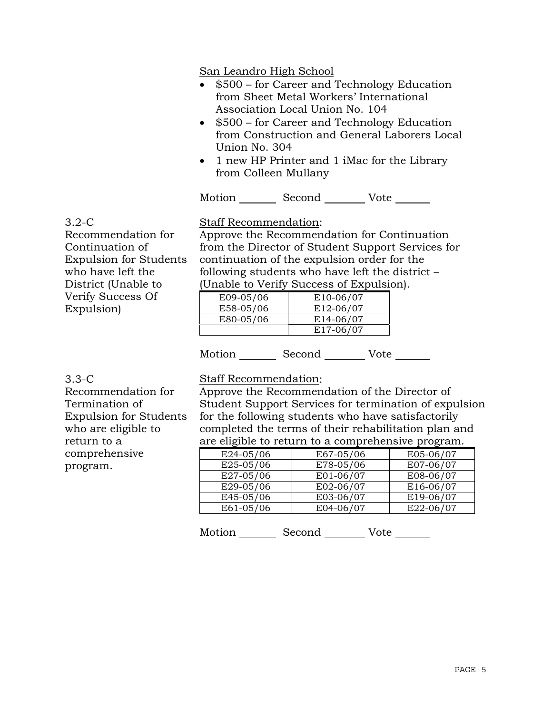San Leandro High School

- $$500 for Career and Technology Education$ from Sheet Metal Workers' International Association Local Union No. 104
- \$500 for Career and Technology Education from Construction and General Laborers Local Union No. 304
- 1 new HP Printer and 1 iMac for the Library from Colleen Mullany

Motion Second Vote

3.2-C Recommendation for Continuation of Expulsion for Students who have left the District (Unable to Verify Success Of Expulsion)

Staff Recommendation:

Approve the Recommendation for Continuation from the Director of Student Support Services for continuation of the expulsion order for the following students who have left the district – (Unable to Verify Success of Expulsion).

|           | $\frac{1}{2}$          |
|-----------|------------------------|
| E09-05/06 | E <sub>10</sub> -06/07 |
| E58-05/06 | E12-06/07              |
| E80-05/06 | E14-06/07              |
|           | E17-06/07              |

Motion Second Vote \_\_\_\_\_\_

3.3-C

Recommendation for Termination of Expulsion for Students who are eligible to return to a comprehensive program.

# Staff Recommendation:

Approve the Recommendation of the Director of Student Support Services for termination of expulsion for the following students who have satisfactorily completed the terms of their rehabilitation plan and are eligible to return to a comprehensive program.

| E24-05/06 | E67-05/06 | E05-06/07 |
|-----------|-----------|-----------|
| E25-05/06 | E78-05/06 | E07-06/07 |
| E27-05/06 | E01-06/07 | E08-06/07 |
| E29-05/06 | E02-06/07 | E16-06/07 |
| E45-05/06 | E03-06/07 | E19-06/07 |
| E61-05/06 | E04-06/07 | E22-06/07 |

Motion Second Vote \_\_\_\_\_\_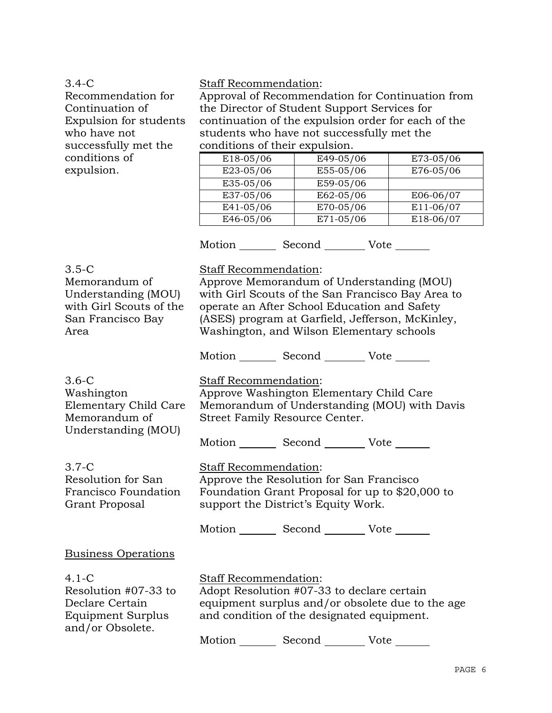3.4-C

Recommendation for Continuation of Expulsion for students who have not successfully met the conditions of expulsion.

### Staff Recommendation:

Approval of Recommendation for Continuation from the Director of Student Support Services for continuation of the expulsion order for each of the students who have not successfully met the conditions of their expulsion.

| E18-05/06 | E49-05/06 | E73-05/06 |
|-----------|-----------|-----------|
| E23-05/06 | E55-05/06 | E76-05/06 |
| E35-05/06 | E59-05/06 |           |
| E37-05/06 | E62-05/06 | E06-06/07 |
| E41-05/06 | E70-05/06 | E11-06/07 |
| E46-05/06 | E71-05/06 | E18-06/07 |

Motion \_\_\_\_\_\_\_\_\_ Second \_\_\_\_\_\_\_\_\_ Vote \_\_\_\_\_\_\_

3.5-C Memorandum of Understanding (MOU) with Girl Scouts of the San Francisco Bay Area Staff Recommendation: Approve Memorandum of Understanding (MOU) with Girl Scouts of the San Francisco Bay Area to operate an After School Education and Safety (ASES) program at Garfield, Jefferson, McKinley, Washington, and Wilson Elementary schools Motion Second Vote 3.6-C Washington Elementary Child Care Memorandum of Understanding (MOU) Staff Recommendation: Approve Washington Elementary Child Care Memorandum of Understanding (MOU) with Davis Street Family Resource Center. Motion Second Vote 3.7-C Resolution for San Francisco Foundation Grant Proposal Staff Recommendation: Approve the Resolution for San Francisco Foundation Grant Proposal for up to \$20,000 to support the District's Equity Work. Motion Second Vote Business Operations 4.1-C Resolution #07-33 to Declare Certain Equipment Surplus and/or Obsolete. Staff Recommendation: Adopt Resolution #07-33 to declare certain equipment surplus and/or obsolete due to the age and condition of the designated equipment. Motion Second Vote \_\_\_\_\_\_\_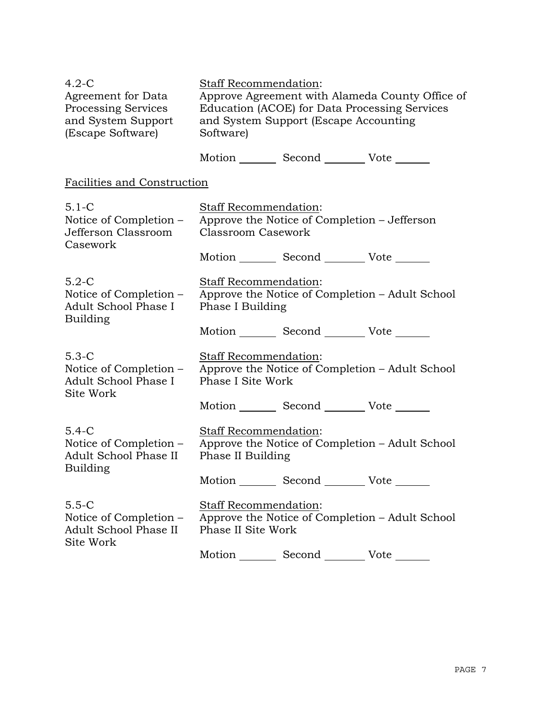| $4.2-C$<br><b>Agreement for Data</b><br>Processing Services<br>and System Support<br>(Escape Software) | Staff Recommendation:<br>Approve Agreement with Alameda County Office of<br>Education (ACOE) for Data Processing Services<br>and System Support (Escape Accounting<br>Software) |  |  |
|--------------------------------------------------------------------------------------------------------|---------------------------------------------------------------------------------------------------------------------------------------------------------------------------------|--|--|
|                                                                                                        | Motion _________ Second __________ Vote _______                                                                                                                                 |  |  |
| Facilities and Construction                                                                            |                                                                                                                                                                                 |  |  |
| $5.1-C$<br>Notice of Completion -<br>Jefferson Classroom<br>Casework                                   | Staff Recommendation:<br>Approve the Notice of Completion - Jefferson<br><b>Classroom Casework</b>                                                                              |  |  |
|                                                                                                        | Motion _________ Second __________ Vote _______                                                                                                                                 |  |  |
| $5.2-C$<br>Notice of Completion –<br>Adult School Phase I                                              | Staff Recommendation:<br>Approve the Notice of Completion – Adult School<br>Phase I Building                                                                                    |  |  |
| <b>Building</b>                                                                                        | Motion _________ Second __________ Vote _______                                                                                                                                 |  |  |
| $5.3-C$<br>Notice of Completion –<br>Adult School Phase I<br>Site Work                                 | Staff Recommendation:<br>Approve the Notice of Completion - Adult School<br>Phase I Site Work                                                                                   |  |  |
|                                                                                                        | Motion _________ Second __________ Vote _______                                                                                                                                 |  |  |
| $5.4-C$<br>Notice of Completion –<br>Adult School Phase II<br>Building                                 | <b>Staff Recommendation:</b><br>Approve the Notice of Completion - Adult School<br>Phase II Building                                                                            |  |  |
|                                                                                                        | Motion _________ Second __________ Vote _______                                                                                                                                 |  |  |
| $5.5-C$<br>Notice of Completion –<br>Adult School Phase II<br>Site Work                                | Staff Recommendation:<br>Approve the Notice of Completion - Adult School<br>Phase II Site Work                                                                                  |  |  |
|                                                                                                        | Motion<br>Second<br>Vote                                                                                                                                                        |  |  |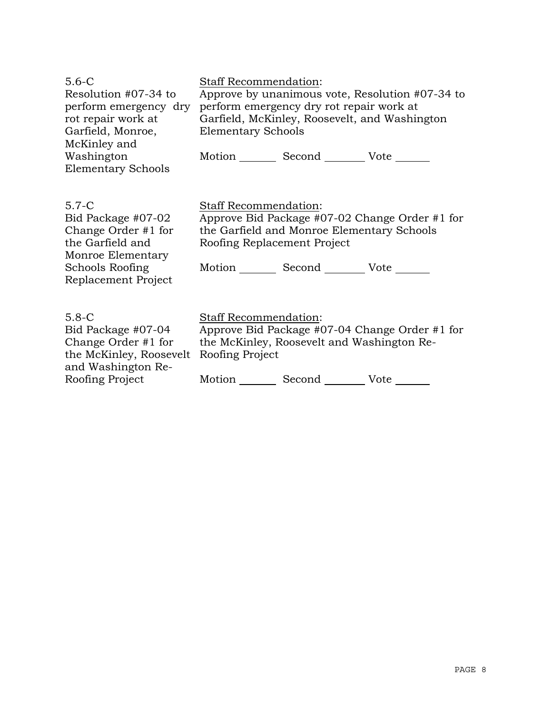| $5.6 - C$                               | <b>Staff Recommendation:</b>                    |  |  |
|-----------------------------------------|-------------------------------------------------|--|--|
| Resolution #07-34 to                    | Approve by unanimous vote, Resolution #07-34 to |  |  |
| perform emergency dry                   | perform emergency dry rot repair work at        |  |  |
| rot repair work at                      | Garfield, McKinley, Roosevelt, and Washington   |  |  |
| Garfield, Monroe,                       | <b>Elementary Schools</b>                       |  |  |
| McKinley and                            |                                                 |  |  |
| Washington                              | Motion Second Vote                              |  |  |
| <b>Elementary Schools</b>               |                                                 |  |  |
|                                         |                                                 |  |  |
|                                         |                                                 |  |  |
| $5.7 - C$                               | <b>Staff Recommendation:</b>                    |  |  |
| Bid Package #07-02                      | Approve Bid Package #07-02 Change Order #1 for  |  |  |
| Change Order #1 for<br>the Garfield and | the Garfield and Monroe Elementary Schools      |  |  |
| Monroe Elementary                       | Roofing Replacement Project                     |  |  |
| Schools Roofing                         | Motion Second Vote                              |  |  |
| Replacement Project                     |                                                 |  |  |
|                                         |                                                 |  |  |
|                                         |                                                 |  |  |
| $5.8-C$                                 | Staff Recommendation:                           |  |  |
| Bid Package #07-04                      | Approve Bid Package #07-04 Change Order #1 for  |  |  |
| Change Order #1 for                     | the McKinley, Roosevelt and Washington Re-      |  |  |
| the McKinley, Roosevelt                 | Roofing Project                                 |  |  |

and Washington Re-

Roofing Project

Motion \_\_\_\_\_\_\_\_\_ Second \_\_\_\_\_\_\_\_\_ Vote \_\_\_\_\_\_\_